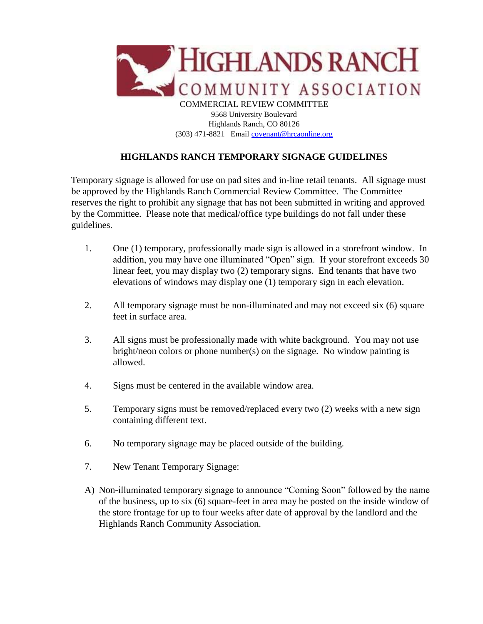

## **HIGHLANDS RANCH TEMPORARY SIGNAGE GUIDELINES**

Temporary signage is allowed for use on pad sites and in-line retail tenants. All signage must be approved by the Highlands Ranch Commercial Review Committee. The Committee reserves the right to prohibit any signage that has not been submitted in writing and approved by the Committee. Please note that medical/office type buildings do not fall under these guidelines.

- 1. One (1) temporary, professionally made sign is allowed in a storefront window. In addition, you may have one illuminated "Open" sign. If your storefront exceeds 30 linear feet, you may display two (2) temporary signs. End tenants that have two elevations of windows may display one (1) temporary sign in each elevation.
- 2. All temporary signage must be non-illuminated and may not exceed six (6) square feet in surface area.
- 3. All signs must be professionally made with white background. You may not use bright/neon colors or phone number(s) on the signage. No window painting is allowed.
- 4. Signs must be centered in the available window area.
- 5. Temporary signs must be removed/replaced every two (2) weeks with a new sign containing different text.
- 6. No temporary signage may be placed outside of the building.
- 7. New Tenant Temporary Signage:
- A) Non-illuminated temporary signage to announce "Coming Soon" followed by the name of the business, up to six (6) square-feet in area may be posted on the inside window of the store frontage for up to four weeks after date of approval by the landlord and the Highlands Ranch Community Association.